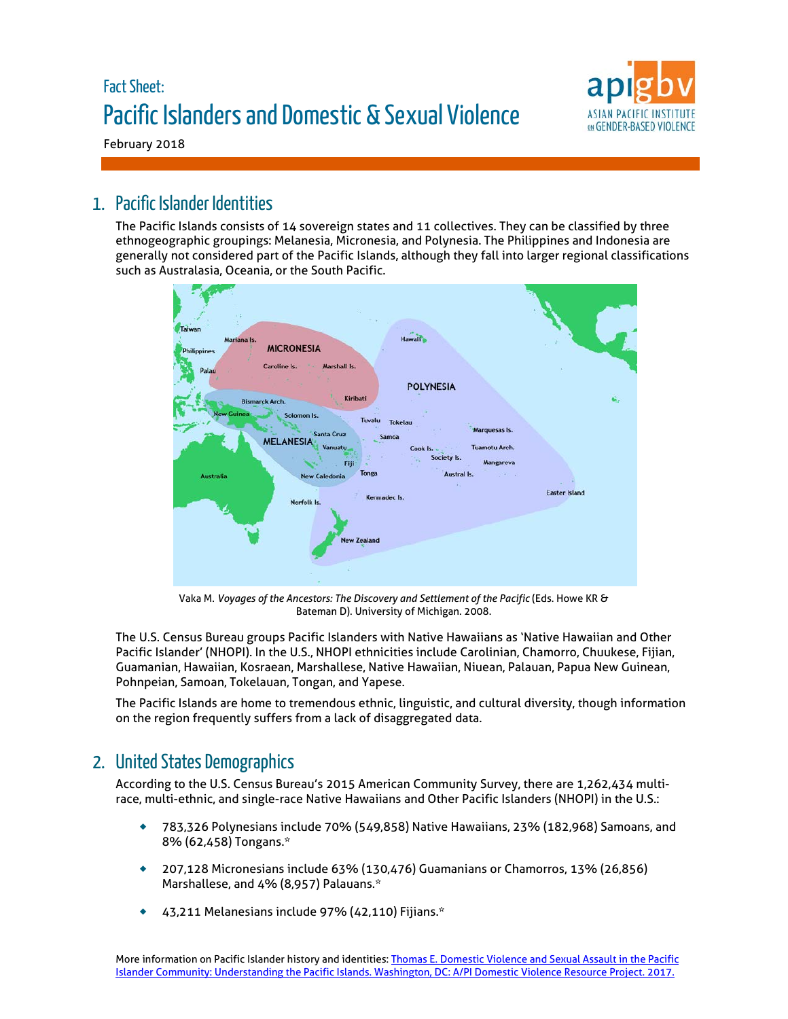# Fact Sheet: Pacific Islanders and Domestic & Sexual Violence



February 2018

## 1. Pacific Islander Identities

The Pacific Islands consists of 14 sovereign states and 11 collectives. They can be classified by three ethnogeographic groupings: Melanesia, Micronesia, and Polynesia. The Philippines and Indonesia are generally not considered part of the Pacific Islands, although they fall into larger regional classifications such as Australasia, Oceania, or the South Pacific.



Vaka M. *Voyages of the Ancestors: The Discovery and Settlement of the Pacific* (Eds. Howe KR & Bateman D). University of Michigan. 2008.

The U.S. Census Bureau groups Pacific Islanders with Native Hawaiians as 'Native Hawaiian and Other Pacific Islander' (NHOPI). In the U.S., NHOPI ethnicities include Carolinian, Chamorro, Chuukese, Fijian, Guamanian, Hawaiian, Kosraean, Marshallese, Native Hawaiian, Niuean, Palauan, Papua New Guinean, Pohnpeian, Samoan, Tokelauan, Tongan, and Yapese.

The Pacific Islands are home to tremendous ethnic, linguistic, and cultural diversity, though information on the region frequently suffers from a lack of disaggregated data.

# 2. United States Demographics

According to the U.S. Census Bureau's 2015 American Community Survey, there are 1,262,434 multirace, multi-ethnic, and single-race Native Hawaiians and Other Pacific Islanders (NHOPI) in the U.S.:

- 783,326 Polynesians include 70% (549,858) Native Hawaiians, 23% (182,968) Samoans, and 8% (62,458) Tongans.\*
- 207,128 Micronesians include 63% (130,476) Guamanians or Chamorros, 13% (26,856) Marshallese, and 4% (8,957) Palauans.\*
- 43,211 Melanesians include 97% (42,110) Fijians.\*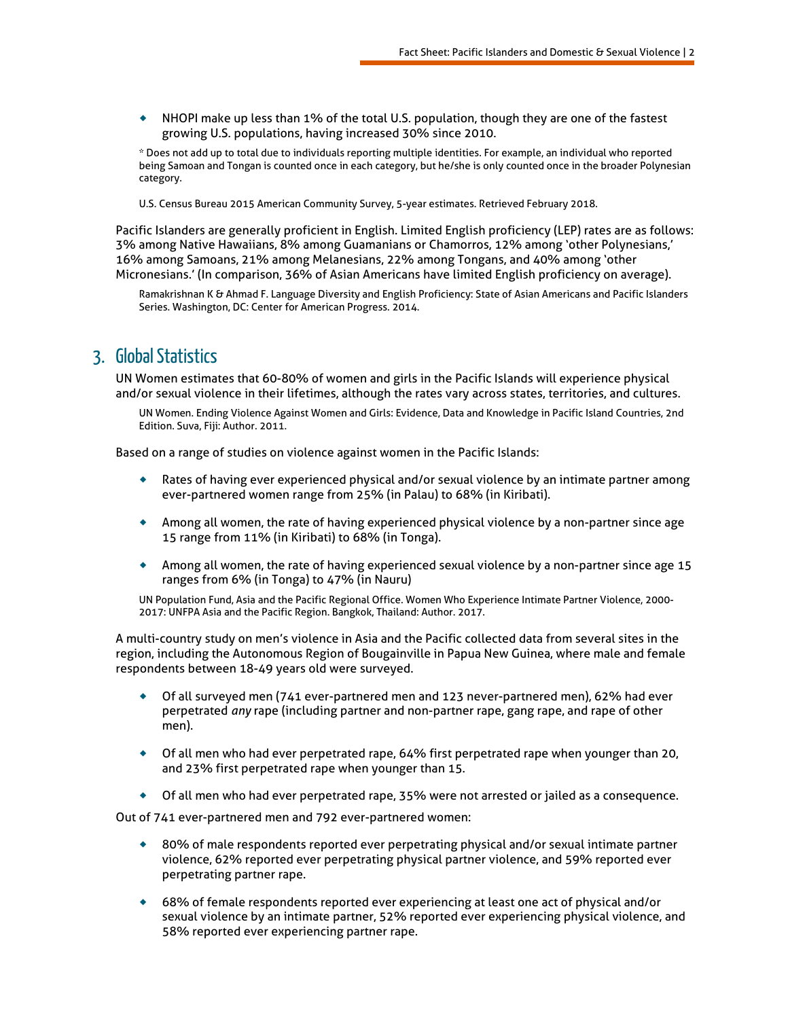NHOPI make up less than 1% of the total U.S. population, though they are one of the fastest growing U.S. populations, having increased 30% since 2010.

\* Does not add up to total due to individuals reporting multiple identities. For example, an individual who reported being Samoan and Tongan is counted once in each category, but he/she is only counted once in the broader Polynesian category.

U.S. Census Bureau 2015 American Community Survey, 5-year estimates. Retrieved February 2018.

Pacific Islanders are generally proficient in English. Limited English proficiency (LEP) rates are as follows: 3% among Native Hawaiians, 8% among Guamanians or Chamorros, 12% among 'other Polynesians,' 16% among Samoans, 21% among Melanesians, 22% among Tongans, and 40% among 'other Micronesians.' (In comparison, 36% of Asian Americans have limited English proficiency on average).

Ramakrishnan K & Ahmad F. Language Diversity and English Proficiency: State of Asian Americans and Pacific Islanders Series. Washington, DC: Center for American Progress. 2014.

### 3. Global Statistics

UN Women estimates that 60-80% of women and girls in the Pacific Islands will experience physical and/or sexual violence in their lifetimes, although the rates vary across states, territories, and cultures.

UN Women. Ending Violence Against Women and Girls: Evidence, Data and Knowledge in Pacific Island Countries, 2nd Edition. Suva, Fiji: Author. 2011.

Based on a range of studies on violence against women in the Pacific Islands:

- Rates of having ever experienced physical and/or sexual violence by an intimate partner among ever-partnered women range from 25% (in Palau) to 68% (in Kiribati).
- Among all women, the rate of having experienced physical violence by a non-partner since age 15 range from 11% (in Kiribati) to 68% (in Tonga).
- Among all women, the rate of having experienced sexual violence by a non-partner since age 15 ranges from 6% (in Tonga) to 47% (in Nauru)

UN Population Fund, Asia and the Pacific Regional Office. Women Who Experience Intimate Partner Violence, 2000- 2017: UNFPA Asia and the Pacific Region. Bangkok, Thailand: Author. 2017.

A multi-country study on men's violence in Asia and the Pacific collected data from several sites in the region, including the Autonomous Region of Bougainville in Papua New Guinea, where male and female respondents between 18-49 years old were surveyed.

- Of all surveyed men (741 ever-partnered men and 123 never-partnered men), 62% had ever perpetrated *any* rape (including partner and non-partner rape, gang rape, and rape of other men).
- Of all men who had ever perpetrated rape, 64% first perpetrated rape when younger than 20, and 23% first perpetrated rape when younger than 15.
- Of all men who had ever perpetrated rape, 35% were not arrested or jailed as a consequence.

Out of 741 ever-partnered men and 792 ever-partnered women:

- ◆ 80% of male respondents reported ever perpetrating physical and/or sexual intimate partner violence, 62% reported ever perpetrating physical partner violence, and 59% reported ever perpetrating partner rape.
- 68% of female respondents reported ever experiencing at least one act of physical and/or sexual violence by an intimate partner, 52% reported ever experiencing physical violence, and 58% reported ever experiencing partner rape.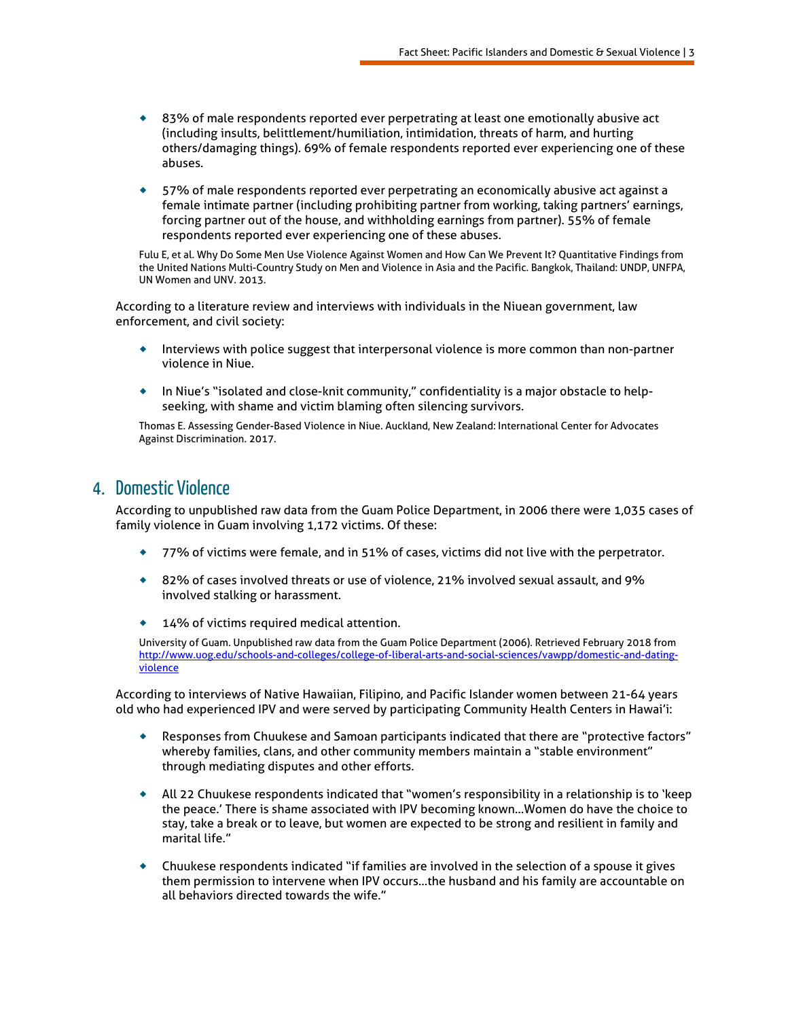- ◆ 83% of male respondents reported ever perpetrating at least one emotionally abusive act (including insults, belittlement/humiliation, intimidation, threats of harm, and hurting others/damaging things). 69% of female respondents reported ever experiencing one of these abuses.
- 57% of male respondents reported ever perpetrating an economically abusive act against a female intimate partner (including prohibiting partner from working, taking partners' earnings, forcing partner out of the house, and withholding earnings from partner). 55% of female respondents reported ever experiencing one of these abuses.

Fulu E, et al. Why Do Some Men Use Violence Against Women and How Can We Prevent It? Quantitative Findings from the United Nations Multi-Country Study on Men and Violence in Asia and the Pacific. Bangkok, Thailand: UNDP, UNFPA, UN Women and UNV. 2013.

According to a literature review and interviews with individuals in the Niuean government, law enforcement, and civil society:

- Interviews with police suggest that interpersonal violence is more common than non-partner violence in Niue.
- In Niue's "isolated and close-knit community," confidentiality is a major obstacle to helpseeking, with shame and victim blaming often silencing survivors.

Thomas E. Assessing Gender-Based Violence in Niue. Auckland, New Zealand: International Center for Advocates Against Discrimination. 2017.

### 4. Domestic Violence

According to unpublished raw data from the Guam Police Department, in 2006 there were 1,035 cases of family violence in Guam involving 1,172 victims. Of these:

- 77% of victims were female, and in 51% of cases, victims did not live with the perpetrator.
- ◆ 82% of cases involved threats or use of violence, 21% involved sexual assault, and 9% involved stalking or harassment.
- 14% of victims required medical attention.

University of Guam. Unpublished raw data from the Guam Police Department (2006). Retrieved February 2018 from [http://www.uog.edu/schools-and-colleges/college-of-liberal-arts-and-social-sciences/vawpp/domestic-and-dating](http://www.uog.edu/schools-and-colleges/college-of-liberal-arts-and-social-sciences/vawpp/domestic-and-dating-violence)[violence](http://www.uog.edu/schools-and-colleges/college-of-liberal-arts-and-social-sciences/vawpp/domestic-and-dating-violence)

According to interviews of Native Hawaiian, Filipino, and Pacific Islander women between 21-64 years old who had experienced IPV and were served by participating Community Health Centers in Hawai'i:

- Responses from Chuukese and Samoan participants indicated that there are "protective factors" whereby families, clans, and other community members maintain a "stable environment" through mediating disputes and other efforts.
- All 22 Chuukese respondents indicated that "women's responsibility in a relationship is to 'keep the peace.' There is shame associated with IPV becoming known…Women do have the choice to stay, take a break or to leave, but women are expected to be strong and resilient in family and marital life."
- Chuukese respondents indicated "if families are involved in the selection of a spouse it gives them permission to intervene when IPV occurs…the husband and his family are accountable on all behaviors directed towards the wife."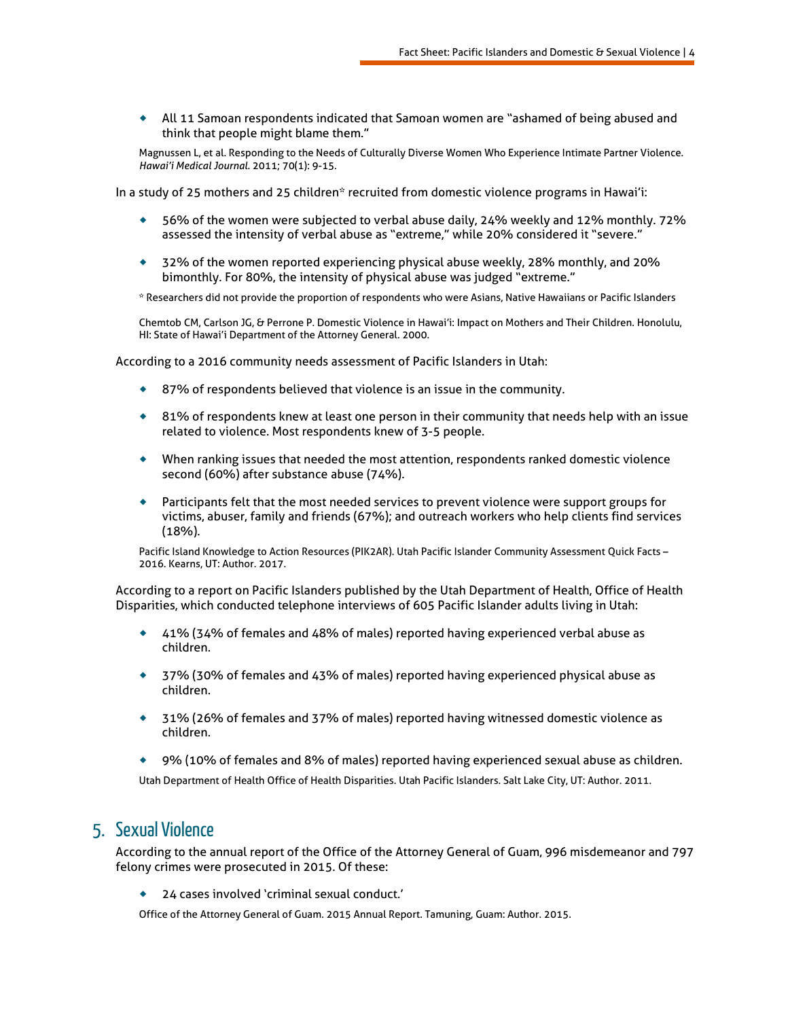All 11 Samoan respondents indicated that Samoan women are "ashamed of being abused and think that people might blame them."

Magnussen L, et al. Responding to the Needs of Culturally Diverse Women Who Experience Intimate Partner Violence. *Hawai'i Medical Journal*. 2011; 70(1): 9-15.

In a study of 25 mothers and 25 children\* recruited from domestic violence programs in Hawai'i:

- 56% of the women were subjected to verbal abuse daily, 24% weekly and 12% monthly. 72% assessed the intensity of verbal abuse as "extreme," while 20% considered it "severe."
- 32% of the women reported experiencing physical abuse weekly, 28% monthly, and 20% bimonthly. For 80%, the intensity of physical abuse was judged "extreme."
- \* Researchers did not provide the proportion of respondents who were Asians, Native Hawaiians or Pacific Islanders

Chemtob CM, Carlson JG, & Perrone P. Domestic Violence in Hawai'i: Impact on Mothers and Their Children. Honolulu, HI: State of Hawai'i Department of the Attorney General. 2000.

According to a 2016 community needs assessment of Pacific Islanders in Utah:

- ◆ 87% of respondents believed that violence is an issue in the community.
- 81% of respondents knew at least one person in their community that needs help with an issue related to violence. Most respondents knew of 3-5 people.
- When ranking issues that needed the most attention, respondents ranked domestic violence second (60%) after substance abuse (74%).
- Participants felt that the most needed services to prevent violence were support groups for victims, abuser, family and friends (67%); and outreach workers who help clients find services (18%).

Pacific Island Knowledge to Action Resources (PIK2AR). Utah Pacific Islander Community Assessment Quick Facts – 2016. Kearns, UT: Author. 2017.

According to a report on Pacific Islanders published by the Utah Department of Health, Office of Health Disparities, which conducted telephone interviews of 605 Pacific Islander adults living in Utah:

- 41% (34% of females and 48% of males) reported having experienced verbal abuse as children.
- 37% (30% of females and 43% of males) reported having experienced physical abuse as children.
- 31% (26% of females and 37% of males) reported having witnessed domestic violence as children.
- 9% (10% of females and 8% of males) reported having experienced sexual abuse as children.

Utah Department of Health Office of Health Disparities. Utah Pacific Islanders. Salt Lake City, UT: Author. 2011.

### 5. Sexual Violence

According to the annual report of the Office of the Attorney General of Guam, 996 misdemeanor and 797 felony crimes were prosecuted in 2015. Of these:

24 cases involved 'criminal sexual conduct.'

Office of the Attorney General of Guam. 2015 Annual Report. Tamuning, Guam: Author. 2015.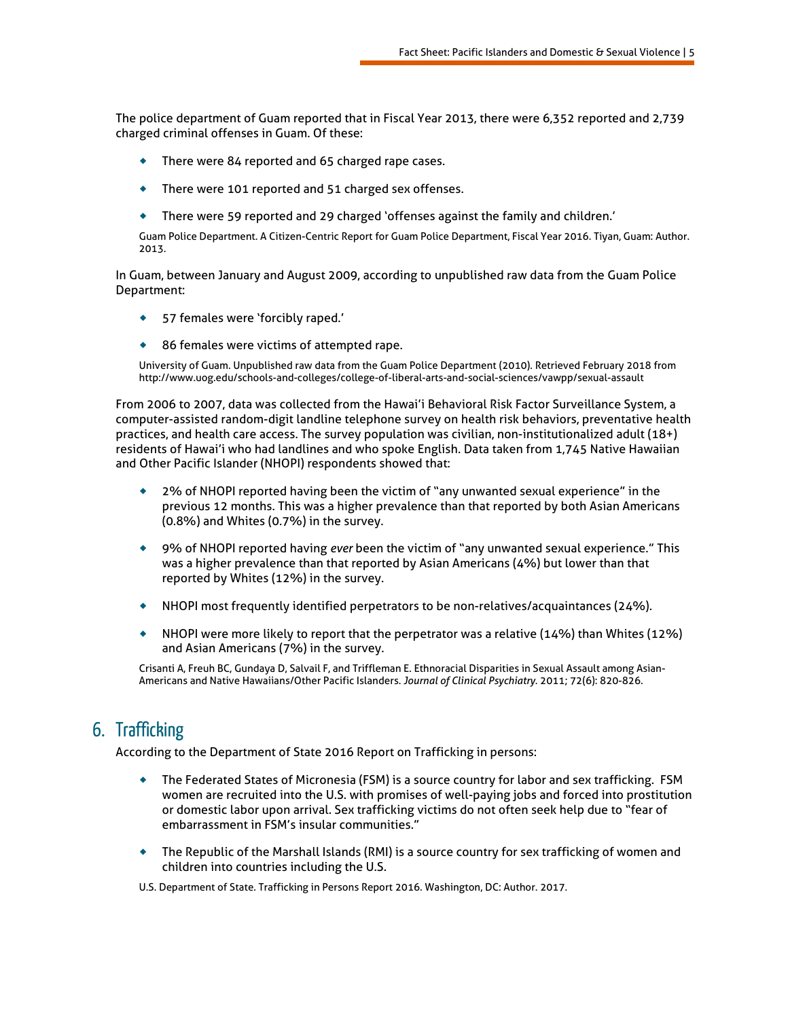The police department of Guam reported that in Fiscal Year 2013, there were 6,352 reported and 2,739 charged criminal offenses in Guam. Of these:

- ◆ There were 84 reported and 65 charged rape cases.
- There were 101 reported and 51 charged sex offenses.
- There were 59 reported and 29 charged 'offenses against the family and children.'

Guam Police Department. A Citizen-Centric Report for Guam Police Department, Fiscal Year 2016. Tiyan, Guam: Author. 2013.

In Guam, between January and August 2009, according to unpublished raw data from the Guam Police Department:

- 57 females were 'forcibly raped.'
- ◆ 86 females were victims of attempted rape.

University of Guam. Unpublished raw data from the Guam Police Department (2010). Retrieved February 2018 from http://www.uog.edu/schools-and-colleges/college-of-liberal-arts-and-social-sciences/vawpp/sexual-assault

From 2006 to 2007, data was collected from the Hawai'i Behavioral Risk Factor Surveillance System, a computer-assisted random-digit landline telephone survey on health risk behaviors, preventative health practices, and health care access. The survey population was civilian, non-institutionalized adult (18+) residents of Hawai'i who had landlines and who spoke English. Data taken from 1,745 Native Hawaiian and Other Pacific Islander (NHOPI) respondents showed that:

- 2% of NHOPI reported having been the victim of "any unwanted sexual experience" in the previous 12 months. This was a higher prevalence than that reported by both Asian Americans (0.8%) and Whites (0.7%) in the survey.
- 9% of NHOPI reported having *ever* been the victim of "any unwanted sexual experience." This was a higher prevalence than that reported by Asian Americans (4%) but lower than that reported by Whites (12%) in the survey.
- NHOPI most frequently identified perpetrators to be non-relatives/acquaintances (24%).
- $\bullet$  NHOPI were more likely to report that the perpetrator was a relative (14%) than Whites (12%) and Asian Americans (7%) in the survey.

Crisanti A, Freuh BC, Gundaya D, Salvail F, and Triffleman E. Ethnoracial Disparities in Sexual Assault among Asian-Americans and Native Hawaiians/Other Pacific Islanders. *Journal of Clinical Psychiatry*. 2011; 72(6): 820-826.

## 6. Trafficking

According to the Department of State 2016 Report on Trafficking in persons:

- The Federated States of Micronesia (FSM) is a source country for labor and sex trafficking. FSM women are recruited into the U.S. with promises of well-paying jobs and forced into prostitution or domestic labor upon arrival. Sex trafficking victims do not often seek help due to "fear of embarrassment in FSM's insular communities."
- The Republic of the Marshall Islands (RMI) is a source country for sex trafficking of women and children into countries including the U.S.

U.S. Department of State. Trafficking in Persons Report 2016. Washington, DC: Author. 2017.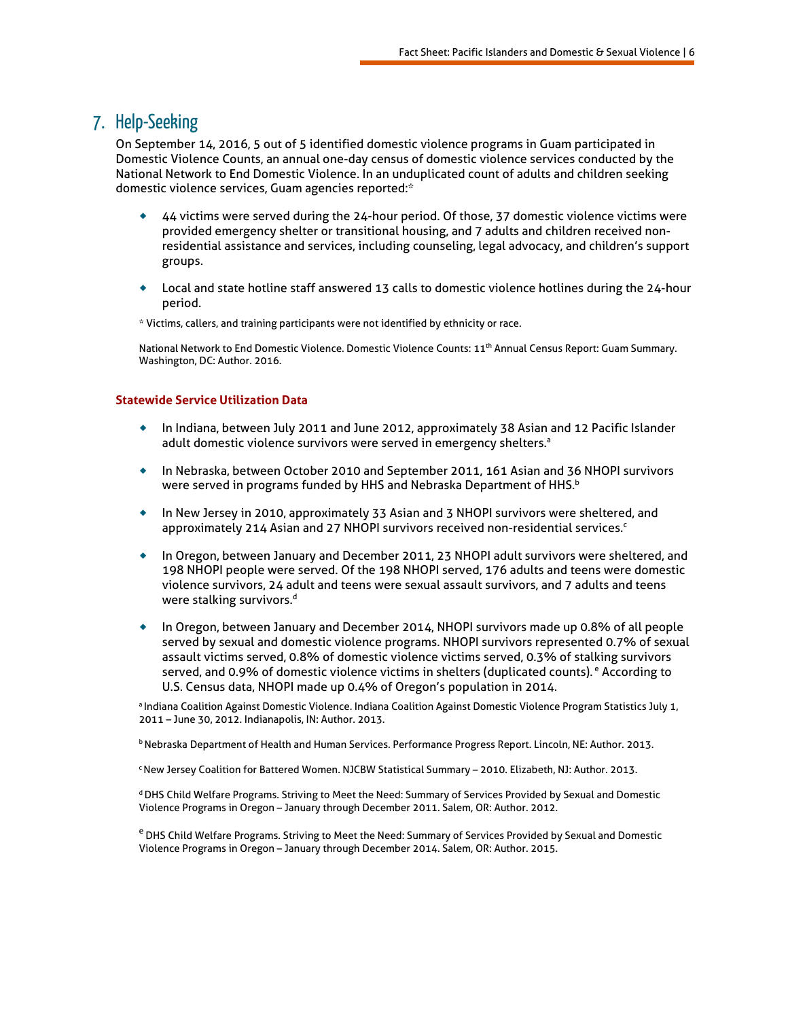### 7. Help-Seeking

On September 14, 2016, 5 out of 5 identified domestic violence programs in Guam participated in Domestic Violence Counts, an annual one-day census of domestic violence services conducted by the National Network to End Domestic Violence. In an unduplicated count of adults and children seeking domestic violence services, Guam agencies reported:\*

- 44 victims were served during the 24-hour period. Of those, 37 domestic violence victims were provided emergency shelter or transitional housing, and 7 adults and children received nonresidential assistance and services, including counseling, legal advocacy, and children's support groups.
- Local and state hotline staff answered 13 calls to domestic violence hotlines during the 24-hour period.

\* Victims, callers, and training participants were not identified by ethnicity or race.

National Network to End Domestic Violence. Domestic Violence Counts: 11<sup>th</sup> Annual Census Report: Guam Summary. Washington, DC: Author. 2016.

#### **Statewide Service Utilization Data**

- In Indiana, between July 2011 and June 2012, approximately 38 Asian and 12 Pacific Islander adult domestic violence survivors were served in emergency shelters.<sup>a</sup>
- In Nebraska, between October 2010 and September 2011, 161 Asian and 36 NHOPI survivors were served in programs funded by HHS and Nebraska Department of HHS.<sup>b</sup>
- In New Jersey in 2010, approximately 33 Asian and 3 NHOPI survivors were sheltered, and approximately 214 Asian and 27 NHOPI survivors received non-residential services. $c$
- In Oregon, between January and December 2011, 23 NHOPI adult survivors were sheltered, and 198 NHOPI people were served. Of the 198 NHOPI served, 176 adults and teens were domestic violence survivors, 24 adult and teens were sexual assault survivors, and 7 adults and teens were stalking survivors.<sup>d</sup>
- In Oregon, between January and December 2014, NHOPI survivors made up 0.8% of all people served by sexual and domestic violence programs. NHOPI survivors represented 0.7% of sexual assault victims served, 0.8% of domestic violence victims served, 0.3% of stalking survivors served, and 0.9% of domestic violence victims in shelters (duplicated counts).<sup>e</sup> According to U.S. Census data, NHOPI made up 0.4% of Oregon's population in 2014.

<sup>a</sup> Indiana Coalition Against Domestic Violence. Indiana Coalition Against Domestic Violence Program Statistics July 1, 2011 – June 30, 2012. Indianapolis, IN: Author. 2013.

**b Nebraska Department of Health and Human Services. Performance Progress Report. Lincoln, NE: Author. 2013.** 

c New Jersey Coalition for Battered Women. NJCBW Statistical Summary – 2010. Elizabeth, NJ: Author. 2013.

d DHS Child Welfare Programs. Striving to Meet the Need: Summary of Services Provided by Sexual and Domestic Violence Programs in Oregon – January through December 2011. Salem, OR: Author. 2012.

<sup>e</sup> DHS Child Welfare Programs. Striving to Meet the Need: Summary of Services Provided by Sexual and Domestic Violence Programs in Oregon – January through December 2014. Salem, OR: Author. 2015.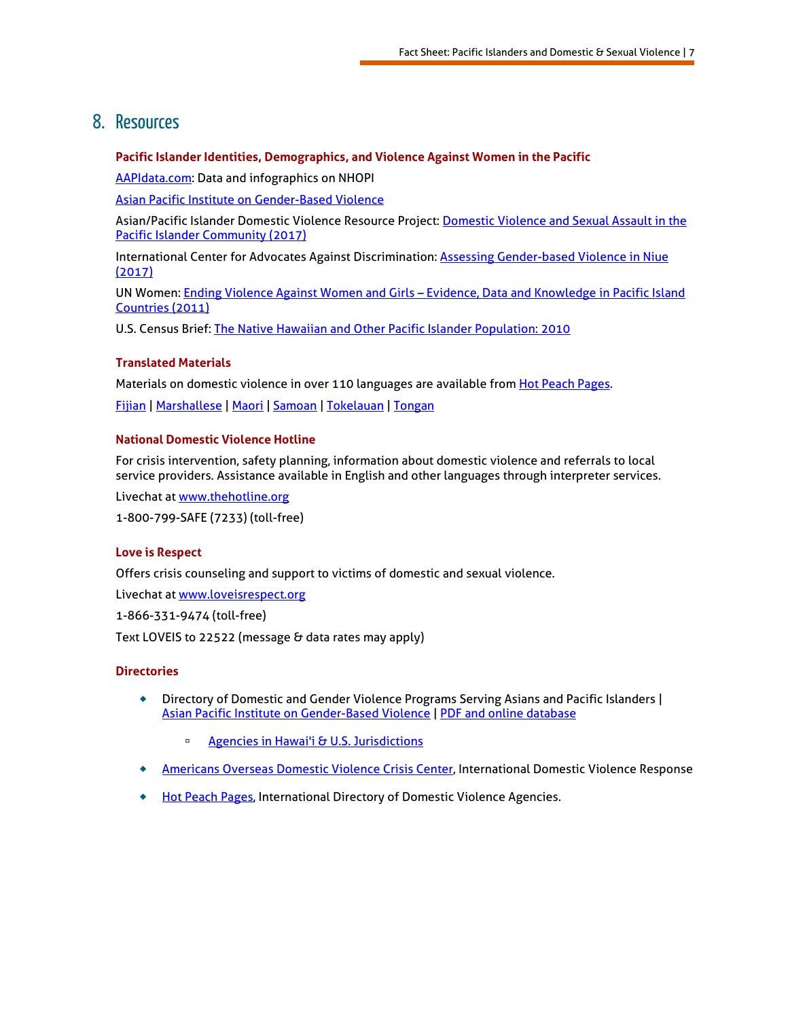### 8. Resources

#### **Pacific Islander Identities, Demographics, and Violence Against Women in the Pacific**

[AAPIdata.com:](http://aapidata.com/people/nhpi/) Data and infographics on NHOPI

[Asian Pacific Institute on Gender-Based Violence](https://www.api-gbv.org/resources/dvfactsheet-southasian/) 

Asian/Pacific Islander Domestic Violence Resource Project: [Domestic Violence and Sexual Assault in the](http://dvrp.org/wp-content/uploads/2017/05/GBV-in-the-PI-Community.pdf)  [Pacific Islander Community \(2017\)](http://dvrp.org/wp-content/uploads/2017/05/GBV-in-the-PI-Community.pdf)

International Center for Advocates Against Discrimination: [Assessing Gender-based Violence in Niue](https://icaad.ngo/womens-rights/promote-access-to-justice/combating-vaw-in-pics-reports/assessing-gender-based-violence-niue/)  [\(2017\)](https://icaad.ngo/womens-rights/promote-access-to-justice/combating-vaw-in-pics-reports/assessing-gender-based-violence-niue/)

UN Women: Ending Violence Against Women and Girls – [Evidence, Data and Knowledge in Pacific Island](http://asiapacific.unwomen.org/en/digital-library/publications/2011/7/ending-violence-against-women-and-girls#view)  [Countries \(2011\)](http://asiapacific.unwomen.org/en/digital-library/publications/2011/7/ending-violence-against-women-and-girls#view)

U.S. Census Brief[: The Native Hawaiian and Other Pacific Islander Population: 2010](https://www.census.gov/prod/cen2010/briefs/c2010br-12.pdf)

#### **Translated Materials**

Materials on domestic violence in over 110 languages are available from [Hot Peach Pages.](http://www.hotpeachpages.net/lang/index.html)

[Fijian](http://www.hotpeachpages.net/lang/index.html#Fijian) | [Marshallese](http://www.hotpeachpages.net/lang/index2.html#Marshallese) [| Maori](http://www.hotpeachpages.net/lang/index2.html#maori) [| Samoan](http://www.hotpeachpages.net/lang/index2.html#Samoan) | [Tokelauan](http://www.hotpeachpages.net/lang/index2.html#Tokelauan) | [Tongan](http://www.hotpeachpages.net/lang/index2.html#Tongan)

#### **National Domestic Violence Hotline**

For crisis intervention, safety planning, information about domestic violence and referrals to local service providers. Assistance available in English and other languages through interpreter services.

Livechat at [www.thehotline.org](http://www.thehotline.org/)

1-800-799-SAFE (7233) (toll-free)

#### **Love is Respect**

Offers crisis counseling and support to victims of domestic and sexual violence.

Livechat at [www.loveisrespect.org](http://www.loveisrespect.org/)

1-866-331-9474 (toll-free)

Text LOVEIS to 22522 (message & data rates may apply)

#### **Directories**

- Directory of Domestic and Gender Violence Programs Serving Asians and Pacific Islanders | [Asian Pacific Institute on Gender-Based Violence](http://www.api-gbv.org/) | [PDF and online database](https://www.api-gbv.org/resources/directory-api-services/)
	- <sup>o</sup> [Agencies in Hawai'i & U.S. Jurisdictions](https://s3.amazonaws.com/gbv-wp-uploads/wp-content/uploads/2017/12/08183656/Directory-ProgramsServingAPISurvivors-2017.pdf#page=17)
- [Americans Overseas Domestic Violence Crisis Center,](http://www.866uswomen.org/) International Domestic Violence Response
- ◆ [Hot Peach Pages,](http://www.hotpeachpages.net/) International Directory of Domestic Violence Agencies.